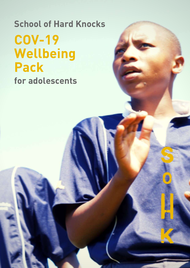### COV-19 Wellbeing Pack School of Hard Knocks for adolescents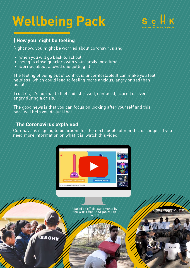## Wellbeing Pack



#### | How you might be feeling

Right now, you might be worried about coronavirus and

- when you will go back to school
- being in close quarters with your family for a time  $\bullet$
- worried about a loved one getting ill

The feeling of being out of control is uncomfortable.It can make you feel helpless, which could lead to feeling more anxious, angry or sad than usual.

Trust us, It's normal to feel sad, stressed, confused, scared or even angry during a crisis.

The good news is that you can focus on looking after yourself and this pack will help you do just that.

#### | The Coronavirus explained

Coronavirus is going to be around for the next couple of months, or longer. If you need more information on what it is, watch this video.



\*based on official statements by the World Health Organization (WHO).

**#SOHK** 

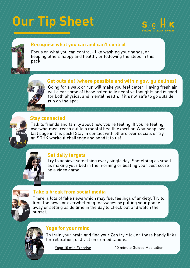# Our Tip Sheet





#### Recognise what you can and can't control

Focus on what you can control - like washing your hands, or keeping others happy and healthy or following the steps in this pack!

#### Get outside! (where possible and within gov. guidelines)

Going for a walk or run will make you feel better. Having fresh air will clear some of those potentially negative thoughts and is good for both physical and mental health. If it's not safe to go outside, run on the spot!

#### Stay connected

Talk to friends and family about how you're feeling. If you're feeling overwhelmed, reach out to a mental health expert on Whatsapp (see last page in this pack) Stay in contact with others over socials or try an SOHK workout challenge and send it to us!



#### Set daily targets

Try to achieve something every single day. Something as small as making your bed in the morning or beating your best score on a video game.



#### Take a break from social media

There is lots of fake news which may fuel feelings of anxiety. Try to limit the news or overwhelming messages by putting your phone away or setting aside time in the day to check out and watch the sunset.



#### Yoga for your mind

To train your brain and find your Zen try click on these handy links for relaxation, distraction or meditations.

Yoga 10 min [Exercise](https://www.youtube.com/watch?v=JmoCGibR_wc&t=93s) 10 minute Guided [Meditation](https://www.youtube.com/watch?v=y2i4EGV2Hmg)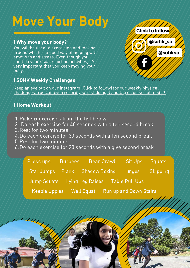## Move Your Body

#### | Why move your body?

You will be used to exercising and moving around which is a good way of helping with emotions and stress. Even though you can't do your usual sporting activities, it's very important that you keep moving your body.

#### | SOHK Weekly Challenges

Keep an eye out on our Instagram (Click to follow) for our weekly physical [challenges.](http://www.instagram.com/sohk_sa) You can even record yourself doing it and tag us on social media[!](http://www.instagram.com/sohk_sa)

#### | Home Workout

- Pick six exercises from the list below 1.
- Do each exercise for 40 seconds with a ten second break 2.
- 3. Rest for two minutes
- Do each exercise for 30 seconds with a ten second break 4.
- 5. Rest for two minutes
- Do each exercise for 20 seconds with a give second break 6.

Press ups Burpees Bear Crawl Sit Ups Squats Star Jumps Plank Shadow Boxing Lunges Skipping Jump Squats Lying Leg Raises Table Pull Ups Keepie Uppies Wall Squat Run up and Down Stairs



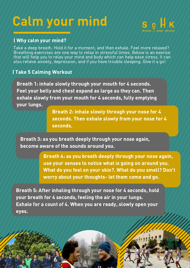## Calm your mind



#### | Why calm your mind?

Take a deep breath. Hold it for a moment, and then exhale. Feel more relaxed? Breathing exercises are one way to relax in stressful times. Below is an exerise that will help you to relax your mind and body which can help ease stress. It can also relieve anxiety, depression, and if you have trouble sleeping. Give it a go!

#### | Take 5 Calming Workout

Breath 1: inhale slowly through your mouth for 4 seconds. Feel your belly and chest expand as large as they can. Then exhale slowly from your mouth for 4 seconds, fully emptying your lungs.

> Breath 2: inhale slowly through your nose for 4 seconds. Then exhale slowly from your nose for 4 seconds.

Breath 3: as you breath deeply through your nose again, become aware of the sounds around you.

> Breath 4: as you breath deeply through your nose again, use your senses to notice what is going on around you. What do you feel on your skin?. What do you smell? Don't worry about your thoughts- let them come and go.

Breath 5: After inhaling through your nose for 4 seconds, hold your breath for 4 seconds, feeling the air in your lungs. Exhale for a count of 4. When you are ready, slowly open your eyes.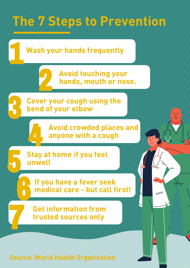

Source: World Health Organisation